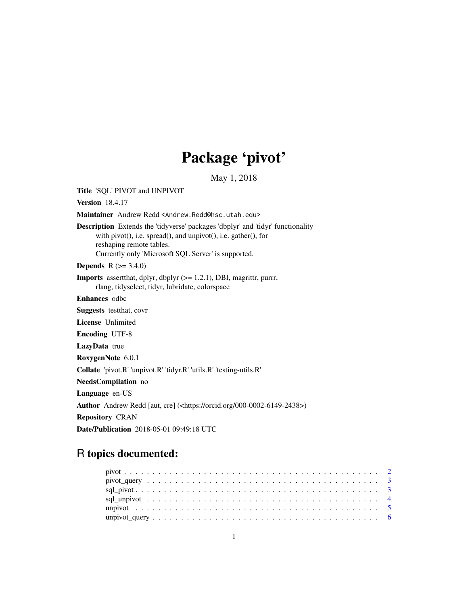# Package 'pivot'

May 1, 2018

<span id="page-0-0"></span>Title 'SQL' PIVOT and UNPIVOT

Version 18.4.17

Maintainer Andrew Redd <Andrew.Redd@hsc.utah.edu>

Description Extends the 'tidyverse' packages 'dbplyr' and 'tidyr' functionality with pivot(), i.e. spread(), and unpivot(), i.e. gather(), for reshaping remote tables. Currently only 'Microsoft SQL Server' is supported.

**Depends**  $R (= 3.4.0)$ 

Imports assertthat, dplyr, dbplyr (>= 1.2.1), DBI, magrittr, purrr, rlang, tidyselect, tidyr, lubridate, colorspace

Enhances odbc

Suggests testthat, covr

License Unlimited

Encoding UTF-8

LazyData true

RoxygenNote 6.0.1

Collate 'pivot.R' 'unpivot.R' 'tidyr.R' 'utils.R' 'testing-utils.R'

NeedsCompilation no

Language en-US

Author Andrew Redd [aut, cre] (<https://orcid.org/000-0002-6149-2438>)

Repository CRAN

Date/Publication 2018-05-01 09:49:18 UTC

# R topics documented:

| $pivot\_query \dots \dots \dots \dots \dots \dots \dots \dots \dots \dots \dots \dots \dots \dots \dots \dots$ |  |
|----------------------------------------------------------------------------------------------------------------|--|
|                                                                                                                |  |
|                                                                                                                |  |
|                                                                                                                |  |
|                                                                                                                |  |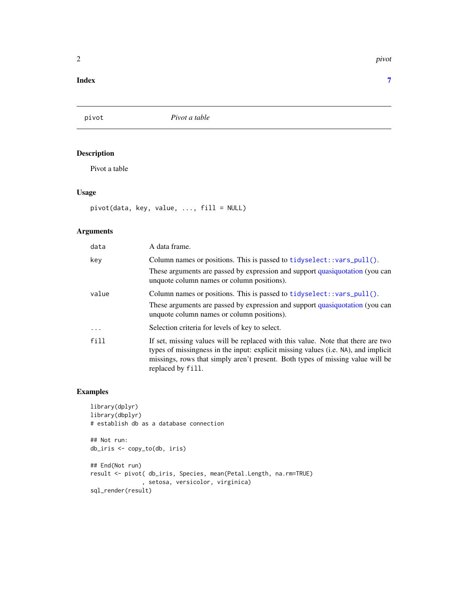#### <span id="page-1-0"></span>**Index** [7](#page-6-0) **7**

pivot *Pivot a table*

# Description

Pivot a table

# Usage

pivot(data, key, value, ..., fill = NULL)

# Arguments

| data       | A data frame.                                                                                                                                                                                                                                                                 |
|------------|-------------------------------------------------------------------------------------------------------------------------------------------------------------------------------------------------------------------------------------------------------------------------------|
| key        | Column names or positions. This is passed to $tidyselect::vars\_pull()$ .                                                                                                                                                                                                     |
|            | These arguments are passed by expression and support quasiquotation (you can<br>unquote column names or column positions).                                                                                                                                                    |
| value      | Column names or positions. This is passed to $tidyselect::vars\_pull()$ .                                                                                                                                                                                                     |
|            | These arguments are passed by expression and support quasiquotation (you can<br>unquote column names or column positions).                                                                                                                                                    |
| $\ddots$ . | Selection criteria for levels of key to select.                                                                                                                                                                                                                               |
| fill       | If set, missing values will be replaced with this value. Note that there are two<br>types of missingness in the input: explicit missing values (i.e. NA), and implicit<br>missings, rows that simply aren't present. Both types of missing value will be<br>replaced by fill. |

# Examples

```
library(dplyr)
library(dbplyr)
# establish db as a database connection
## Not run:
db_iris <- copy_to(db, iris)
## End(Not run)
result <- pivot( db_iris, Species, mean(Petal.Length, na.rm=TRUE)
               , setosa, versicolor, virginica)
```
sql\_render(result)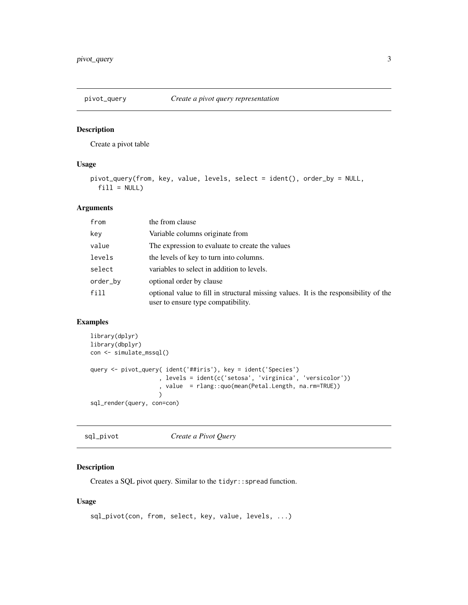<span id="page-2-0"></span>

# Description

Create a pivot table

# Usage

```
pivot_query(from, key, value, levels, select = ident(), order_by = NULL,
 fill = NULL)
```
#### Arguments

| from     | the from clause                                                                                                            |
|----------|----------------------------------------------------------------------------------------------------------------------------|
| key      | Variable columns originate from                                                                                            |
| value    | The expression to evaluate to create the values                                                                            |
| levels   | the levels of key to turn into columns.                                                                                    |
| select   | variables to select in addition to levels.                                                                                 |
| order_by | optional order by clause                                                                                                   |
| fill     | optional value to fill in structural missing values. It is the responsibility of the<br>user to ensure type compatibility. |

#### Examples

```
library(dplyr)
library(dbplyr)
con <- simulate_mssql()
query <- pivot_query( ident('##iris'), key = ident('Species')
                    , levels = ident(c('setosa', 'virginica', 'versicolor'))
                    , value = rlang::quo(mean(Petal.Length, na.rm=TRUE))
                    \lambdasql_render(query, con=con)
```
sql\_pivot *Create a Pivot Query*

# Description

Creates a SQL pivot query. Similar to the tidyr::spread function.

#### Usage

```
sql_pivot(con, from, select, key, value, levels, ...)
```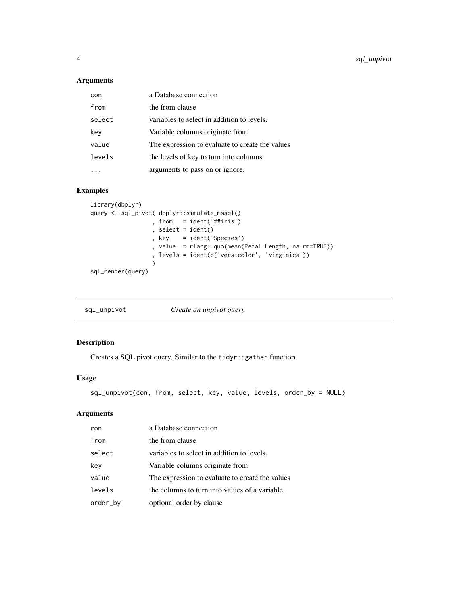<span id="page-3-0"></span>4 sql\_unpivot

# Arguments

| con    | a Database connection                           |
|--------|-------------------------------------------------|
| from   | the from clause                                 |
| select | variables to select in addition to levels.      |
| key    | Variable columns originate from                 |
| value  | The expression to evaluate to create the values |
| levels | the levels of key to turn into columns.         |
|        | arguments to pass on or ignore.                 |

# Examples

```
library(dbplyr)
query <- sql_pivot( dbplyr::simulate_mssql()
                 , from = ident('##iris')
                  , select = ident()
                  , key = ident('Species')
                  , value = rlang::quo(mean(Petal.Length, na.rm=TRUE))
                 , levels = ident(c('versicolor', 'virginica'))
                 )
sql_render(query)
```

```
sql_unpivot Create an unpivot query
```
# Description

Creates a SQL pivot query. Similar to the tidyr::gather function.

# Usage

sql\_unpivot(con, from, select, key, value, levels, order\_by = NULL)

# Arguments

| con      | a Database connection                           |
|----------|-------------------------------------------------|
| from     | the from clause                                 |
| select   | variables to select in addition to levels.      |
| key      | Variable columns originate from                 |
| value    | The expression to evaluate to create the values |
| levels   | the columns to turn into values of a variable.  |
| order_by | optional order by clause                        |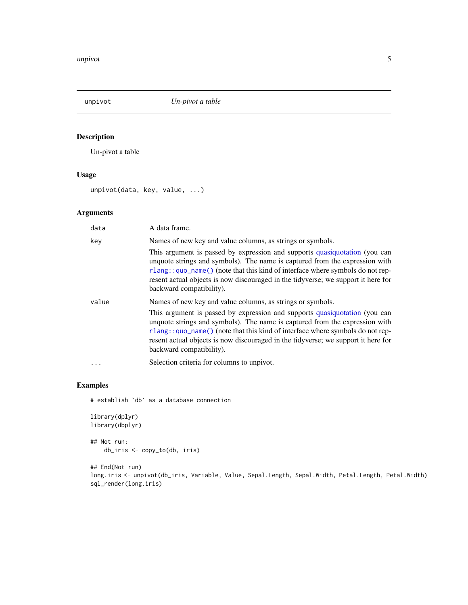<span id="page-4-0"></span>

# Description

Un-pivot a table

# Usage

unpivot(data, key, value, ...)

# Arguments

| data     | A data frame.                                                                                                                                                                                                                                                                                                                                                  |
|----------|----------------------------------------------------------------------------------------------------------------------------------------------------------------------------------------------------------------------------------------------------------------------------------------------------------------------------------------------------------------|
| key      | Names of new key and value columns, as strings or symbols.                                                                                                                                                                                                                                                                                                     |
|          | This argument is passed by expression and supports quasiquotation (you can<br>unquote strings and symbols). The name is captured from the expression with<br>rlang::quo_name() (note that this kind of interface where symbols do not rep-<br>resent actual objects is now discouraged in the tidyverse; we support it here for<br>backward compatibility).    |
| value    | Names of new key and value columns, as strings or symbols.                                                                                                                                                                                                                                                                                                     |
|          | This argument is passed by expression and supports quasiquotation (you can<br>unquote strings and symbols). The name is captured from the expression with<br>$rlang$ : quo_name() (note that this kind of interface where symbols do not rep-<br>resent actual objects is now discouraged in the tidyverse; we support it here for<br>backward compatibility). |
| $\cdots$ | Selection criteria for columns to unpivot.                                                                                                                                                                                                                                                                                                                     |

# Examples

# establish `db` as a database connection

```
library(dplyr)
library(dbplyr)
## Not run:
    db_iris <- copy_to(db, iris)
```
## End(Not run) long.iris <- unpivot(db\_iris, Variable, Value, Sepal.Length, Sepal.Width, Petal.Length, Petal.Width) sql\_render(long.iris)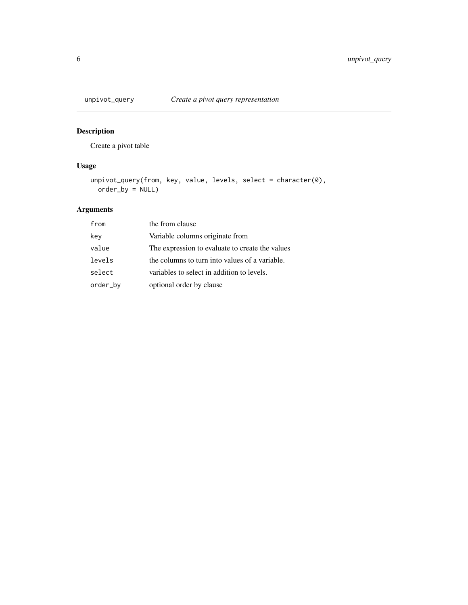<span id="page-5-0"></span>

# Description

Create a pivot table

# Usage

```
unpivot_query(from, key, value, levels, select = character(0),
 order_by = NULL)
```
# Arguments

| from     | the from clause                                 |
|----------|-------------------------------------------------|
| key      | Variable columns originate from                 |
| value    | The expression to evaluate to create the values |
| levels   | the columns to turn into values of a variable.  |
| select   | variables to select in addition to levels.      |
| order_by | optional order by clause                        |